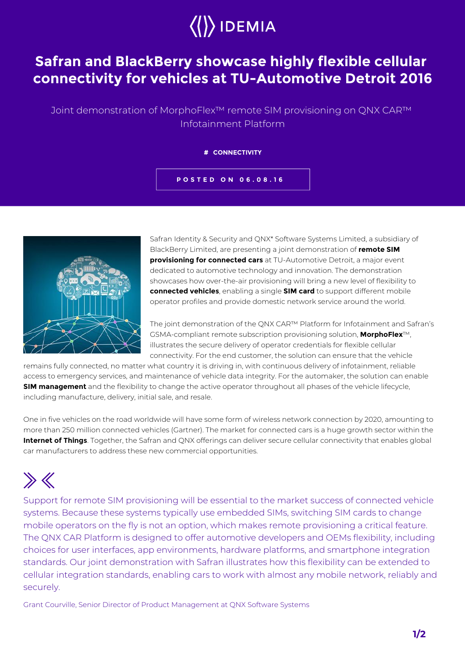

## **Safran and BlackBerry showcase highly flexible cellular connectivity for vehicles at TU-Automotive Detroit 2016**

Joint demonstration of MorphoFlex™ remote SIM provisioning on QNX CAR™ Infotainment Platform

## **# CONNECTIVITY**

**POSTED ON 06.08.16**



Safran Identity & Security and QNX\* Software Systems Limited, a subsidiary of BlackBerry Limited, are presenting a joint demonstration of **remote SIM provisioning for connected cars** at TU-Automotive Detroit, a major event dedicated to automotive technology and innovation. The demonstration showcases how over-the-air provisioning will bring a new level of flexibility to **connected vehicles**, enabling a single **SIM card** to support different mobile operator profiles and provide domestic network service around the world.

The joint demonstration of the QNX CAR™ Platform for Infotainment and Safran's GSMA-compliant remote subscription provisioning solution, **MorphoFlex**™, illustrates the secure delivery of operator credentials for flexible cellular connectivity. For the end customer, the solution can ensure that the vehicle

remains fully connected, no matter what country it is driving in, with continuous delivery of infotainment, reliable access to emergency services, and maintenance of vehicle data integrity. For the automaker, the solution can enable **SIM management** and the flexibility to change the active operator throughout all phases of the vehicle lifecycle, including manufacture, delivery, initial sale, and resale.

One in five vehicles on the road worldwide will have some form of wireless network connection by 2020, amounting to more than 250 million connected vehicles (Gartner). The market for connected cars is a huge growth sector within the **Internet of Things**. Together, the Safran and QNX offerings can deliver secure cellular connectivity that enables global car manufacturers to address these new commercial opportunities.

## $\gg K$

Support for remote SIM provisioning will be essential to the market success of connected vehicle systems. Because these systems typically use embedded SIMs, switching SIM cards to change mobile operators on the fly is not an option, which makes remote provisioning a critical feature. The QNX CAR Platform is designed to offer automotive developers and OEMs flexibility, including choices for user interfaces, app environments, hardware platforms, and smartphone integration standards. Our joint demonstration with Safran illustrates how this flexibility can be extended to cellular integration standards, enabling cars to work with almost any mobile network, reliably and securely.

Grant Courville, Senior Director of Product Management at QNX Software Systems